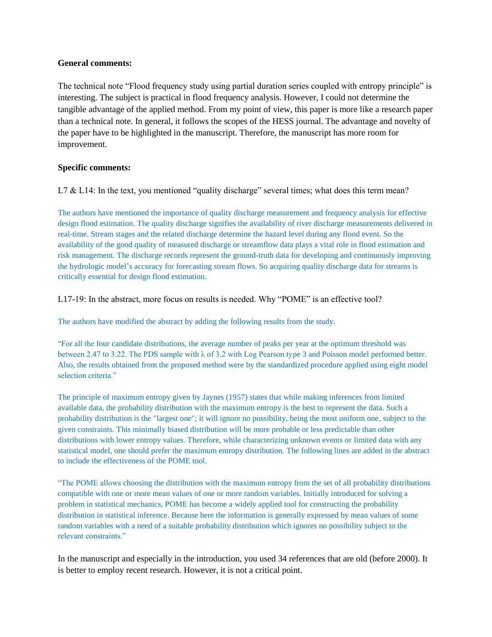#### **General comments:**

The technical note "Flood frequency study using partial duration series coupled with entropy principle" is interesting. The subject is practical in flood frequency analysis. However, I could not determine the tangible advantage of the applied method. From my point of view, this paper is more like a research paper than a technical note. In general, it follows the scopes of the HESS journal. The advantage and novelty of the paper have to be highlighted in the manuscript. Therefore, the manuscript has more room for improvement.

## **Specific comments:**

L7  $&$  L14: In the text, you mentioned "quality discharge" several times; what does this term mean?

The authors have mentioned the importance of quality discharge measurement and frequency analysis for effective design flood estimation. The quality discharge signifies the availability of river discharge measurements delivered in real-time. Stream stages and the related discharge determine the hazard level during any flood event. So the availability of the good quality of measured discharge or streamflow data plays a vital role in flood estimation and risk management. The discharge records represent the ground-truth data for developing and continuously improving the hydrologic model's accuracy for forecasting stream flows. So acquiring quality discharge data for streams is critically essential for design flood estimation.

L17-19: In the abstract, more focus on results is needed. Why "POME" is an effective tool?

The authors have modified the abstract by adding the following results from the study.

"For all the four candidate distributions, the average number of peaks per year at the optimum threshold was between 2.47 to 3.22. The PDS sample with λ of 3.2 with Log Pearson type 3 and Poisson model performed better. Also, the results obtained from the proposed method were by the standardized procedure applied using eight model selection criteria."

The principle of maximum entropy given by Jaynes (1957) states that while making inferences from limited available data, the probability distribution with the maximum entropy is the best to represent the data. Such a probability distribution is the "largest one"; it will ignore no possibility, being the most uniform one, subject to the given constraints. This minimally biased distribution will be more probable or less predictable than other distributions with lower entropy values. Therefore, while characterizing unknown events or limited data with any statistical model, one should prefer the maximum entropy distribution. The following lines are added in the abstract to include the effectiveness of the POME tool.

"The POME allows choosing the distribution with the maximum entropy from the set of all probability distributions compatible with one or more mean values of one or more random variables. Initially introduced for solving a problem in statistical mechanics, POME has become a widely applied tool for constructing the probability distribution in statistical inference. Because here the information is generally expressed by mean values of some random variables with a need of a suitable probability distribution which ignores no possibility subject to the relevant constraints."

In the manuscript and especially in the introduction, you used 34 references that are old (before 2000). It is better to employ recent research. However, it is not a critical point.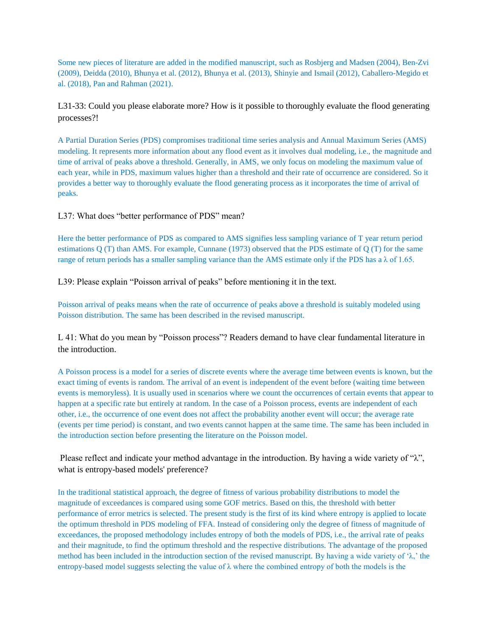Some new pieces of literature are added in the modified manuscript, such as Rosbjerg and Madsen (2004), Ben-Zvi (2009), Deidda (2010), Bhunya et al. (2012), Bhunya et al. (2013), Shinyie and Ismail (2012), Caballero-Megido et al. (2018), Pan and Rahman (2021).

# L31-33: Could you please elaborate more? How is it possible to thoroughly evaluate the flood generating processes?!

A Partial Duration Series (PDS) compromises traditional time series analysis and Annual Maximum Series (AMS) modeling. It represents more information about any flood event as it involves dual modeling, i.e., the magnitude and time of arrival of peaks above a threshold. Generally, in AMS, we only focus on modeling the maximum value of each year, while in PDS, maximum values higher than a threshold and their rate of occurrence are considered. So it provides a better way to thoroughly evaluate the flood generating process as it incorporates the time of arrival of peaks.

## L37: What does "better performance of PDS" mean?

Here the better performance of PDS as compared to AMS signifies less sampling variance of T year return period estimations Q (T) than AMS. For example, Cunnane (1973) observed that the PDS estimate of Q (T) for the same range of return periods has a smaller sampling variance than the AMS estimate only if the PDS has a  $\lambda$  of 1.65.

L39: Please explain "Poisson arrival of peaks" before mentioning it in the text.

Poisson arrival of peaks means when the rate of occurrence of peaks above a threshold is suitably modeled using Poisson distribution. The same has been described in the revised manuscript.

L 41: What do you mean by "Poisson process"? Readers demand to have clear fundamental literature in the introduction.

A Poisson process is a model for a series of discrete events where the average time between events is known, but the exact timing of events is random. The arrival of an event is independent of the event before (waiting time between events is memoryless). It is usually used in scenarios where we count the occurrences of certain events that appear to happen at a specific rate but entirely at random. In the case of a Poisson process, events are independent of each other, i.e., the occurrence of one event does not affect the probability another event will occur; the average rate (events per time period) is constant, and two events cannot happen at the same time. The same has been included in the introduction section before presenting the literature on the Poisson model.

Please reflect and indicate your method advantage in the introduction. By having a wide variety of "λ", what is entropy-based models' preference?

In the traditional statistical approach, the degree of fitness of various probability distributions to model the magnitude of exceedances is compared using some GOF metrics. Based on this, the threshold with better performance of error metrics is selected. The present study is the first of its kind where entropy is applied to locate the optimum threshold in PDS modeling of FFA. Instead of considering only the degree of fitness of magnitude of exceedances, the proposed methodology includes entropy of both the models of PDS, i.e., the arrival rate of peaks and their magnitude, to find the optimum threshold and the respective distributions. The advantage of the proposed method has been included in the introduction section of the revised manuscript. By having a wide variety of ' $\lambda$ ,' the entropy-based model suggests selecting the value of  $\lambda$  where the combined entropy of both the models is the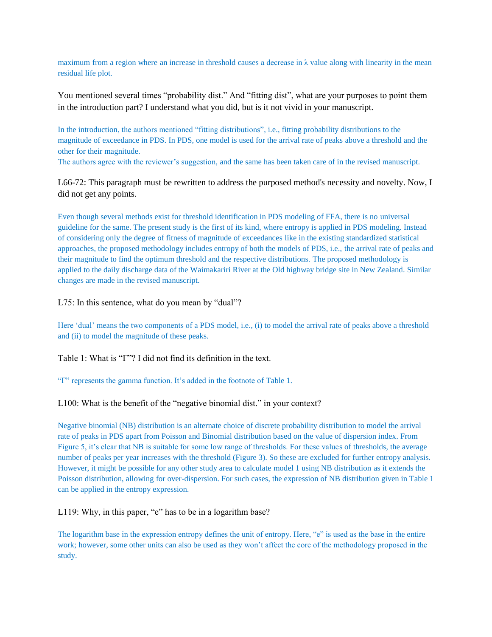maximum from a region where an increase in threshold causes a decrease in  $\lambda$  value along with linearity in the mean residual life plot.

You mentioned several times "probability dist." And "fitting dist", what are your purposes to point them in the introduction part? I understand what you did, but is it not vivid in your manuscript.

In the introduction, the authors mentioned "fitting distributions", i.e., fitting probability distributions to the magnitude of exceedance in PDS. In PDS, one model is used for the arrival rate of peaks above a threshold and the other for their magnitude.

The authors agree with the reviewer's suggestion, and the same has been taken care of in the revised manuscript.

L66-72: This paragraph must be rewritten to address the purposed method's necessity and novelty. Now, I did not get any points.

Even though several methods exist for threshold identification in PDS modeling of FFA, there is no universal guideline for the same. The present study is the first of its kind, where entropy is applied in PDS modeling. Instead of considering only the degree of fitness of magnitude of exceedances like in the existing standardized statistical approaches, the proposed methodology includes entropy of both the models of PDS, i.e., the arrival rate of peaks and their magnitude to find the optimum threshold and the respective distributions. The proposed methodology is applied to the daily discharge data of the Waimakariri River at the Old highway bridge site in New Zealand. Similar changes are made in the revised manuscript.

L75: In this sentence, what do you mean by "dual"?

Here 'dual' means the two components of a PDS model, i.e., (i) to model the arrival rate of peaks above a threshold and (ii) to model the magnitude of these peaks.

Table 1: What is "Γ"? I did not find its definition in the text.

"Γ" represents the gamma function. It's added in the footnote of Table 1.

L100: What is the benefit of the "negative binomial dist." in your context?

Negative binomial (NB) distribution is an alternate choice of discrete probability distribution to model the arrival rate of peaks in PDS apart from Poisson and Binomial distribution based on the value of dispersion index. From Figure 5, it's clear that NB is suitable for some low range of thresholds. For these values of thresholds, the average number of peaks per year increases with the threshold (Figure 3). So these are excluded for further entropy analysis. However, it might be possible for any other study area to calculate model 1 using NB distribution as it extends the Poisson distribution, allowing for over-dispersion. For such cases, the expression of NB distribution given in Table 1 can be applied in the entropy expression.

L119: Why, in this paper, "e" has to be in a logarithm base?

The logarithm base in the expression entropy defines the unit of entropy. Here, "e" is used as the base in the entire work; however, some other units can also be used as they won't affect the core of the methodology proposed in the study.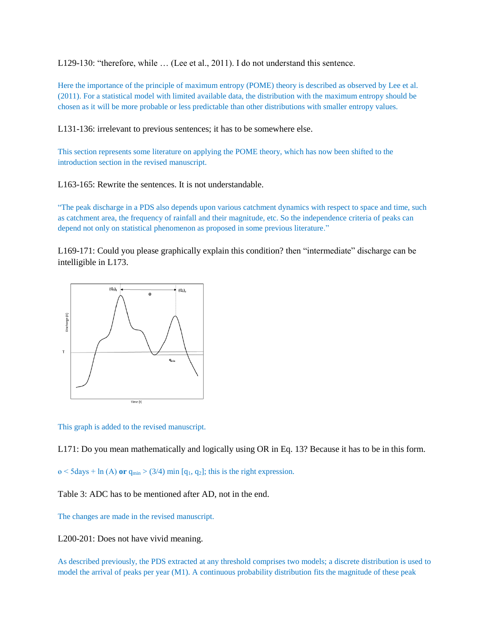L129-130: "therefore, while … (Lee et al., 2011). I do not understand this sentence.

Here the importance of the principle of maximum entropy (POME) theory is described as observed by Lee et al. (2011). For a statistical model with limited available data, the distribution with the maximum entropy should be chosen as it will be more probable or less predictable than other distributions with smaller entropy values.

L131-136: irrelevant to previous sentences; it has to be somewhere else.

This section represents some literature on applying the POME theory, which has now been shifted to the introduction section in the revised manuscript.

L163-165: Rewrite the sentences. It is not understandable.

"The peak discharge in a PDS also depends upon various catchment dynamics with respect to space and time, such as catchment area, the frequency of rainfall and their magnitude, etc. So the independence criteria of peaks can depend not only on statistical phenomenon as proposed in some previous literature."

L169-171: Could you please graphically explain this condition? then "intermediate" discharge can be intelligible in L173.



This graph is added to the revised manuscript.

L171: Do you mean mathematically and logically using OR in Eq. 13? Because it has to be in this form.

 $\theta$  < 5 days + ln (A) **or**  $q_{min}$  > (3/4) min [ $q_1$ ,  $q_2$ ]; this is the right expression.

Table 3: ADC has to be mentioned after AD, not in the end.

The changes are made in the revised manuscript.

L200-201: Does not have vivid meaning.

As described previously, the PDS extracted at any threshold comprises two models; a discrete distribution is used to model the arrival of peaks per year (M1). A continuous probability distribution fits the magnitude of these peak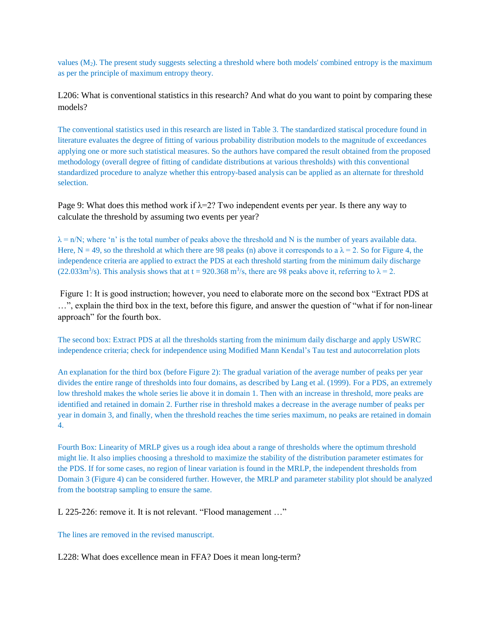values  $(M_2)$ . The present study suggests selecting a threshold where both models' combined entropy is the maximum as per the principle of maximum entropy theory.

L206: What is conventional statistics in this research? And what do you want to point by comparing these models?

The conventional statistics used in this research are listed in Table 3. The standardized statiscal procedure found in literature evaluates the degree of fitting of various probability distribution models to the magnitude of exceedances applying one or more such statistical measures. So the authors have compared the result obtained from the proposed methodology (overall degree of fitting of candidate distributions at various thresholds) with this conventional standardized procedure to analyze whether this entropy-based analysis can be applied as an alternate for threshold selection.

Page 9: What does this method work if  $\lambda$ =2? Two independent events per year. Is there any way to calculate the threshold by assuming two events per year?

 $\lambda = n/N$ ; where 'n' is the total number of peaks above the threshold and N is the number of years available data. Here, N = 49, so the threshold at which there are 98 peaks (n) above it corresponds to a  $\lambda = 2$ . So for Figure 4, the independence criteria are applied to extract the PDS at each threshold starting from the minimum daily discharge (22.033m<sup>3</sup>/s). This analysis shows that at t = 920.368 m<sup>3</sup>/s, there are 98 peaks above it, referring to  $\lambda$  = 2.

Figure 1: It is good instruction; however, you need to elaborate more on the second box "Extract PDS at …", explain the third box in the text, before this figure, and answer the question of "what if for non-linear approach" for the fourth box.

The second box: Extract PDS at all the thresholds starting from the minimum daily discharge and apply USWRC independence criteria; check for independence using Modified Mann Kendal's Tau test and autocorrelation plots

An explanation for the third box (before Figure 2): The gradual variation of the average number of peaks per year divides the entire range of thresholds into four domains, as described by Lang et al. (1999). For a PDS, an extremely low threshold makes the whole series lie above it in domain 1. Then with an increase in threshold, more peaks are identified and retained in domain 2. Further rise in threshold makes a decrease in the average number of peaks per year in domain 3, and finally, when the threshold reaches the time series maximum, no peaks are retained in domain 4.

Fourth Box: Linearity of MRLP gives us a rough idea about a range of thresholds where the optimum threshold might lie. It also implies choosing a threshold to maximize the stability of the distribution parameter estimates for the PDS. If for some cases, no region of linear variation is found in the MRLP, the independent thresholds from Domain 3 (Figure 4) can be considered further. However, the MRLP and parameter stability plot should be analyzed from the bootstrap sampling to ensure the same.

L 225-226: remove it. It is not relevant. "Flood management ..."

The lines are removed in the revised manuscript.

L228: What does excellence mean in FFA? Does it mean long-term?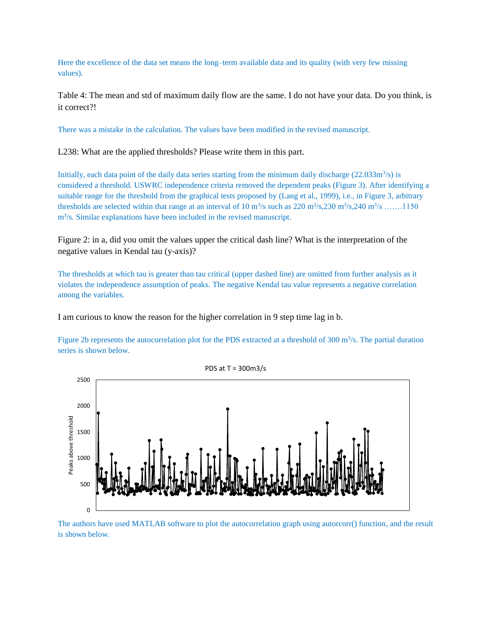Here the excellence of the data set means the long–term available data and its quality (with very few missing values).

Table 4: The mean and std of maximum daily flow are the same. I do not have your data. Do you think, is it correct?!

There was a mistake in the calculation. The values have been modified in the revised manuscript.

L238: What are the applied thresholds? Please write them in this part.

Initially, each data point of the daily data series starting from the minimum daily discharge  $(22.033m<sup>3</sup>/s)$  is considered a threshold. USWRC independence criteria removed the dependent peaks (Figure 3). After identifying a suitable range for the threshold from the graphical tests proposed by (Lang et al., 1999), i.e., in Figure 3, arbitrary thresholds are selected within that range at an interval of  $10 \text{ m}^3\text{/s}$  such as  $220 \text{ m}^3\text{/s}$ ,  $230 \text{ m}^3\text{/s}$ ,  $240 \text{ m}^3\text{/s}$  .......1150 m<sup>3</sup>/s. Similar explanations have been included in the revised manuscript.

Figure 2: in a, did you omit the values upper the critical dash line? What is the interpretation of the negative values in Kendal tau (y-axis)?

The thresholds at which tau is greater than tau critical (upper dashed line) are omitted from further analysis as it violates the independence assumption of peaks. The negative Kendal tau value represents a negative correlation among the variables.

I am curious to know the reason for the higher correlation in 9 step time lag in b.

Figure 2b represents the autocorrelation plot for the PDS extracted at a threshold of  $300 \text{ m}^3$ /s. The partial duration series is shown below.



The authors have used MATLAB software to plot the autocorrelation graph using autorcorr() function, and the result is shown below.

PDS at T = 300m3/s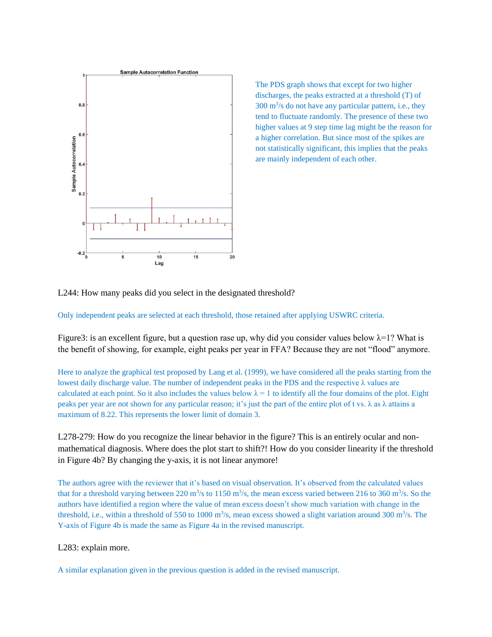

The PDS graph shows that except for two higher discharges, the peaks extracted at a threshold (T) of  $300 \text{ m}^3\text{/s}$  do not have any particular pattern, i.e., they tend to fluctuate randomly. The presence of these two higher values at 9 step time lag might be the reason for a higher correlation. But since most of the spikes are not statistically significant, this implies that the peaks are mainly independent of each other.

L244: How many peaks did you select in the designated threshold?

Only independent peaks are selected at each threshold, those retained after applying USWRC criteria.

Figure3: is an excellent figure, but a question rase up, why did you consider values below  $\lambda = 1$ ? What is the benefit of showing, for example, eight peaks per year in FFA? Because they are not "flood" anymore.

Here to analyze the graphical test proposed by Lang et al. (1999), we have considered all the peaks starting from the lowest daily discharge value. The number of independent peaks in the PDS and the respective  $\lambda$  values are calculated at each point. So it also includes the values below  $\lambda = 1$  to identify all the four domains of the plot. Eight peaks per year are not shown for any particular reason; it's just the part of the entire plot of t vs. λ as λ attains a maximum of 8.22. This represents the lower limit of domain 3.

L278-279: How do you recognize the linear behavior in the figure? This is an entirely ocular and nonmathematical diagnosis. Where does the plot start to shift?! How do you consider linearity if the threshold in Figure 4b? By changing the y-axis, it is not linear anymore!

The authors agree with the reviewer that it's based on visual observation. It's observed from the calculated values that for a threshold varying between 220 m<sup>3</sup>/s to 1150 m<sup>3</sup>/s, the mean excess varied between 216 to 360 m<sup>3</sup>/s. So the authors have identified a region where the value of mean excess doesn't show much variation with change in the threshold, i.e., within a threshold of 550 to 1000  $\text{m}^3$ /s, mean excess showed a slight variation around 300  $\text{m}^3$ /s. The Y-axis of Figure 4b is made the same as Figure 4a in the revised manuscript.

#### L283: explain more.

A similar explanation given in the previous question is added in the revised manuscript.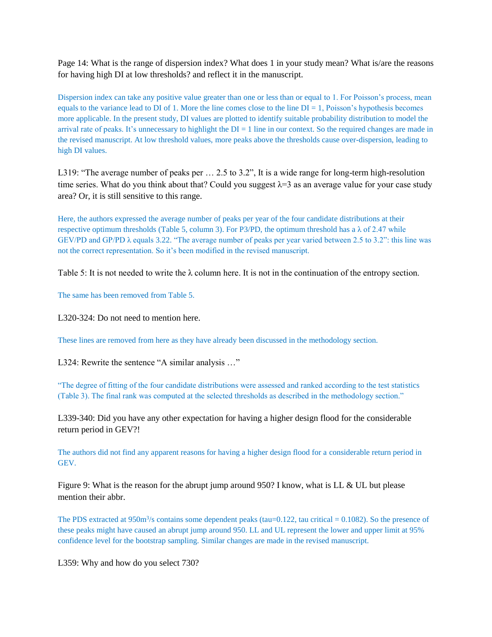Page 14: What is the range of dispersion index? What does 1 in your study mean? What is/are the reasons for having high DI at low thresholds? and reflect it in the manuscript.

Dispersion index can take any positive value greater than one or less than or equal to 1. For Poisson's process, mean equals to the variance lead to DI of 1. More the line comes close to the line  $DI = 1$ , Poisson's hypothesis becomes more applicable. In the present study, DI values are plotted to identify suitable probability distribution to model the arrival rate of peaks. It's unnecessary to highlight the  $DI = 1$  line in our context. So the required changes are made in the revised manuscript. At low threshold values, more peaks above the thresholds cause over-dispersion, leading to high DI values.

L319: "The average number of peaks per … 2.5 to 3.2", It is a wide range for long-term high-resolution time series. What do you think about that? Could you suggest  $\lambda = 3$  as an average value for your case study area? Or, it is still sensitive to this range.

Here, the authors expressed the average number of peaks per year of the four candidate distributions at their respective optimum thresholds (Table 5, column 3). For P3/PD, the optimum threshold has a  $\lambda$  of 2.47 while GEV/PD and GP/PD λ equals 3.22. "The average number of peaks per year varied between 2.5 to 3.2": this line was not the correct representation. So it's been modified in the revised manuscript.

Table 5: It is not needed to write the  $\lambda$  column here. It is not in the continuation of the entropy section.

The same has been removed from Table 5.

L320-324: Do not need to mention here.

These lines are removed from here as they have already been discussed in the methodology section.

L324: Rewrite the sentence "A similar analysis …"

"The degree of fitting of the four candidate distributions were assessed and ranked according to the test statistics (Table 3). The final rank was computed at the selected thresholds as described in the methodology section."

L339-340: Did you have any other expectation for having a higher design flood for the considerable return period in GEV?!

The authors did not find any apparent reasons for having a higher design flood for a considerable return period in GEV.

Figure 9: What is the reason for the abrupt jump around 950? I know, what is LL & UL but please mention their abbr.

The PDS extracted at  $950 \text{m}^3$ /s contains some dependent peaks (tau=0.122, tau critical = 0.1082). So the presence of these peaks might have caused an abrupt jump around 950. LL and UL represent the lower and upper limit at 95% confidence level for the bootstrap sampling. Similar changes are made in the revised manuscript.

L359: Why and how do you select 730?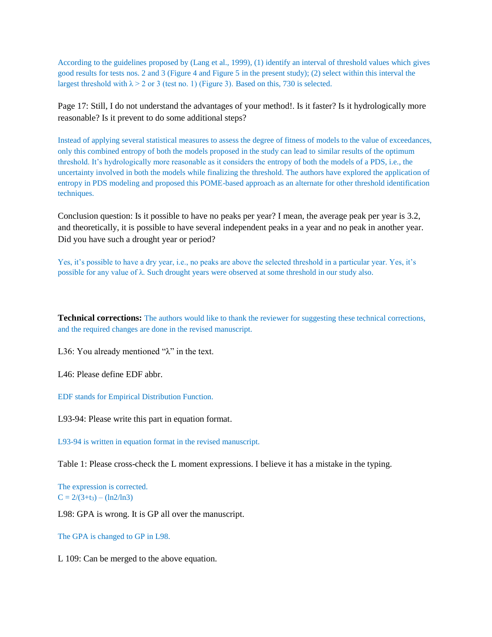According to the guidelines proposed by (Lang et al., 1999), (1) identify an interval of threshold values which gives good results for tests nos. 2 and 3 (Figure 4 and Figure 5 in the present study); (2) select within this interval the largest threshold with  $\lambda > 2$  or 3 (test no. 1) (Figure 3). Based on this, 730 is selected.

Page 17: Still, I do not understand the advantages of your method!. Is it faster? Is it hydrologically more reasonable? Is it prevent to do some additional steps?

Instead of applying several statistical measures to assess the degree of fitness of models to the value of exceedances, only this combined entropy of both the models proposed in the study can lead to similar results of the optimum threshold. It's hydrologically more reasonable as it considers the entropy of both the models of a PDS, i.e., the uncertainty involved in both the models while finalizing the threshold. The authors have explored the application of entropy in PDS modeling and proposed this POME-based approach as an alternate for other threshold identification techniques.

Conclusion question: Is it possible to have no peaks per year? I mean, the average peak per year is 3.2, and theoretically, it is possible to have several independent peaks in a year and no peak in another year. Did you have such a drought year or period?

Yes, it's possible to have a dry year, i.e., no peaks are above the selected threshold in a particular year. Yes, it's possible for any value of λ. Such drought years were observed at some threshold in our study also.

**Technical corrections:** The authors would like to thank the reviewer for suggesting these technical corrections, and the required changes are done in the revised manuscript.

L36: You already mentioned "λ" in the text.

L46: Please define EDF abbr.

EDF stands for Empirical Distribution Function.

L93-94: Please write this part in equation format.

L93-94 is written in equation format in the revised manuscript.

Table 1: Please cross-check the L moment expressions. I believe it has a mistake in the typing.

The expression is corrected.  $C = 2/(3+t_3) - (\ln 2/\ln 3)$ 

L98: GPA is wrong. It is GP all over the manuscript.

The GPA is changed to GP in L98.

L 109: Can be merged to the above equation.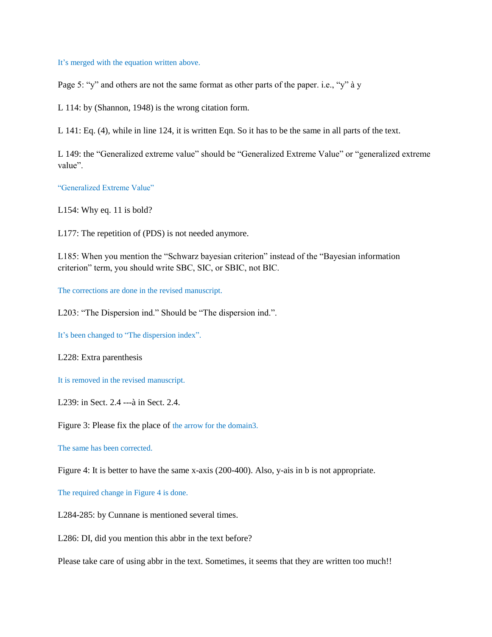It's merged with the equation written above.

Page 5: "y" and others are not the same format as other parts of the paper. i.e., "y" à y

L 114: by (Shannon, 1948) is the wrong citation form.

L 141: Eq. (4), while in line 124, it is written Eqn. So it has to be the same in all parts of the text.

L 149: the "Generalized extreme value" should be "Generalized Extreme Value" or "generalized extreme value".

"Generalized Extreme Value"

L154: Why eq. 11 is bold?

L177: The repetition of (PDS) is not needed anymore.

L185: When you mention the "Schwarz bayesian criterion" instead of the "Bayesian information criterion" term, you should write SBC, SIC, or SBIC, not BIC.

The corrections are done in the revised manuscript.

L203: "The Dispersion ind." Should be "The dispersion ind.".

It's been changed to "The dispersion index".

L228: Extra parenthesis

It is removed in the revised manuscript.

L239: in Sect. 2.4 ---à in Sect. 2.4.

Figure 3: Please fix the place of the arrow for the domain3.

The same has been corrected.

Figure 4: It is better to have the same x-axis (200-400). Also, y-ais in b is not appropriate.

The required change in Figure 4 is done.

L284-285: by Cunnane is mentioned several times.

L286: DI, did you mention this abbr in the text before?

Please take care of using abbr in the text. Sometimes, it seems that they are written too much!!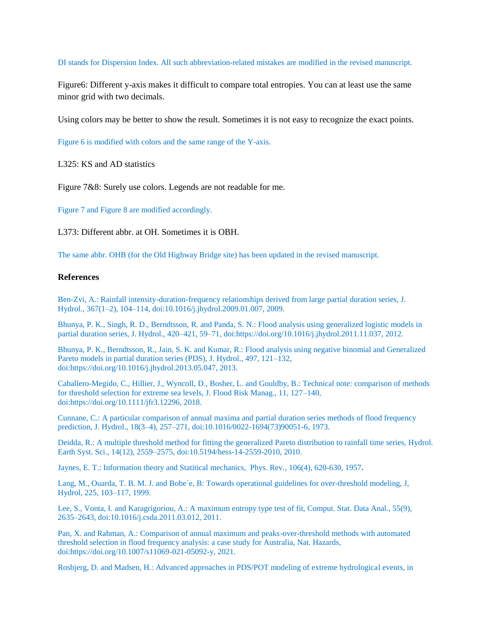DI stands for Dispersion Index. All such abbreviation-related mistakes are modified in the revised manuscript.

Figure6: Different y-axis makes it difficult to compare total entropies. You can at least use the same minor grid with two decimals.

Using colors may be better to show the result. Sometimes it is not easy to recognize the exact points.

Figure 6 is modified with colors and the same range of the Y-axis.

L325: KS and AD statistics

Figure 7&8: Surely use colors. Legends are not readable for me.

Figure 7 and Figure 8 are modified accordingly.

L373: Different abbr. at OH. Sometimes it is OBH.

The same abbr. OHB (for the Old Highway Bridge site) has been updated in the revised manuscript.

#### **References**

Ben-Zvi, A.: Rainfall intensity-duration-frequency relationships derived from large partial duration series, J. Hydrol., 367(1–2), 104–114, doi:10.1016/j.jhydrol.2009.01.007, 2009.

Bhunya, P. K., Singh, R. D., Berndtsson, R. and Panda, S. N.: Flood analysis using generalized logistic models in partial duration series, J. Hydrol., 420–421, 59–71, doi:https://doi.org/10.1016/j.jhydrol.2011.11.037, 2012.

Bhunya, P. K., Berndtsson, R., Jain, S. K. and Kumar, R.: Flood analysis using negative binomial and Generalized Pareto models in partial duration series (PDS), J. Hydrol., 497, 121–132, doi:https://doi.org/10.1016/j.jhydrol.2013.05.047, 2013.

Caballero-Megido, C., Hillier, J., Wyncoll, D., Bosher, L. and Gouldby, B.: Technical note: comparison of methods for threshold selection for extreme sea levels, J. Flood Risk Manag., 11, 127–140, doi:https://doi.org/10.1111/jfr3.12296, 2018.

Cunnane, C.: A particular comparison of annual maxima and partial duration series methods of flood frequency prediction, J. Hydrol., 18(3–4), 257–271, doi:10.1016/0022-1694(73)90051-6, 1973.

Deidda, R.: A multiple threshold method for fitting the generalized Pareto distribution to rainfall time series, Hydrol. Earth Syst. Sci., 14(12), 2559–2575, doi:10.5194/hess-14-2559-2010, 2010.

Jaynes, E. T.: Information theory and Statitical mechanics, Phys. Rev., 106(4), 620-630, 1957**.**

Lang, M., Ouarda, T. B. M. J. and Bobe´e, B: Towards operational guidelines for over-threshold modeling, J, Hydrol, 225, 103–117, 1999.

Lee, S., Vonta, I. and Karagrigoriou, A.: A maximum entropy type test of fit, Comput. Stat. Data Anal., 55(9), 2635–2643, doi:10.1016/j.csda.2011.03.012, 2011.

Pan, X. and Rahman, A.: Comparison of annual maximum and peaks-over-threshold methods with automated threshold selection in flood frequency analysis: a case study for Australia, Nat. Hazards, doi:https://doi.org/10.1007/s11069-021-05092-y, 2021.

Rosbjerg, D. and Madsen, H.: Advanced approaches in PDS/POT modeling of extreme hydrological events, in